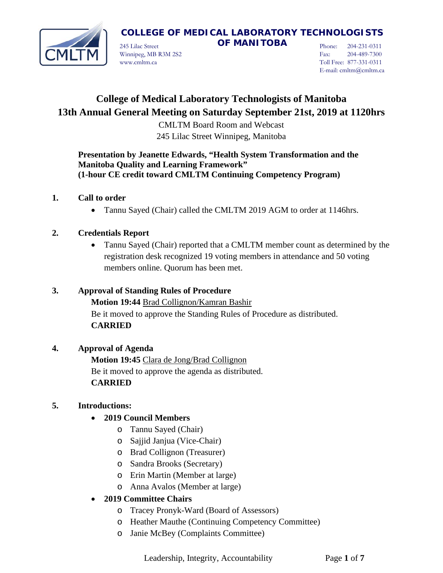

245 Lilac Street **OF MANITOBA** Winnipeg, MB R3M 2S2 www.cmltm.ca

Phone: 204-231-0311 Fax: 204-489-7300 Toll Free: 877-331-0311 E-mail: cmltm@cmltm.ca

# **College of Medical Laboratory Technologists of Manitoba 13th Annual General Meeting on Saturday September 21st, 2019 at 1120hrs**

CMLTM Board Room and Webcast 245 Lilac Street Winnipeg, Manitoba

## **Presentation by Jeanette Edwards, "Health System Transformation and the Manitoba Quality and Learning Framework" (1-hour CE credit toward CMLTM Continuing Competency Program)**

## **1. Call to order**

• Tannu Sayed (Chair) called the CMLTM 2019 AGM to order at 1146hrs.

## **2. Credentials Report**

• Tannu Sayed (Chair) reported that a CMLTM member count as determined by the registration desk recognized 19 voting members in attendance and 50 voting members online. Quorum has been met.

### **3. Approval of Standing Rules of Procedure**

**Motion 19:44** Brad Collignon/Kamran Bashir Be it moved to approve the Standing Rules of Procedure as distributed. **CARRIED**

## **4. Approval of Agenda**

**Motion 19:45** Clara de Jong/Brad Collignon Be it moved to approve the agenda as distributed. **CARRIED**

## **5. Introductions:**

## • **2019 Council Members**

- o Tannu Sayed (Chair)
- o Sajjid Janjua (Vice-Chair)
- o Brad Collignon (Treasurer)
- o Sandra Brooks (Secretary)
- o Erin Martin (Member at large)
- o Anna Avalos (Member at large)

## • **2019 Committee Chairs**

- o Tracey Pronyk-Ward (Board of Assessors)
- o Heather Mauthe (Continuing Competency Committee)
- o Janie McBey (Complaints Committee)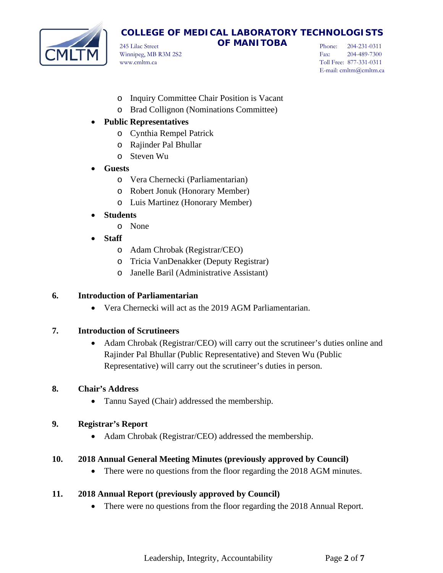

245 Lilac Street **OF MANITOBA** Winnipeg, MB R3M 2S2 www.cmltm.ca

Phone: 204-231-0311 Fax: 204-489-7300 Toll Free: 877-331-0311 E-mail: cmltm@cmltm.ca

- o Inquiry Committee Chair Position is Vacant
- o Brad Collignon (Nominations Committee)

## • **Public Representatives**

- o Cynthia Rempel Patrick
- o Rajinder Pal Bhullar
- o Steven Wu
- **Guests**
	- o Vera Chernecki (Parliamentarian)
	- o Robert Jonuk (Honorary Member)
	- o Luis Martinez (Honorary Member)

## • **Students**

- o None
- **Staff**
	- o Adam Chrobak (Registrar/CEO)
	- o Tricia VanDenakker (Deputy Registrar)
	- o Janelle Baril (Administrative Assistant)

### **6. Introduction of Parliamentarian**

• Vera Chernecki will act as the 2019 AGM Parliamentarian.

### **7. Introduction of Scrutineers**

• Adam Chrobak (Registrar/CEO) will carry out the scrutineer's duties online and Rajinder Pal Bhullar (Public Representative) and Steven Wu (Public Representative) will carry out the scrutineer's duties in person.

### **8. Chair's Address**

• Tannu Sayed (Chair) addressed the membership.

### **9. Registrar's Report**

• Adam Chrobak (Registrar/CEO) addressed the membership.

### **10. 2018 Annual General Meeting Minutes (previously approved by Council)**

• There were no questions from the floor regarding the 2018 AGM minutes.

### **11. 2018 Annual Report (previously approved by Council)**

• There were no questions from the floor regarding the 2018 Annual Report.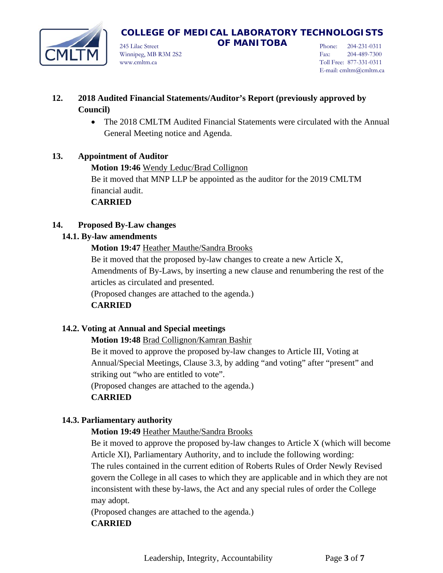

245 Lilac Street **OF MANITOBA** Winnipeg, MB R3M 2S2 www.cmltm.ca

Phone: 204-231-0311 Fax: 204-489-7300 Toll Free: 877-331-0311 E-mail: cmltm@cmltm.ca

- **12. 2018 Audited Financial Statements/Auditor's Report (previously approved by Council)**
	- The 2018 CMLTM Audited Financial Statements were circulated with the Annual General Meeting notice and Agenda.

## **13. Appointment of Auditor**

**Motion 19:46** Wendy Leduc/Brad Collignon Be it moved that MNP LLP be appointed as the auditor for the 2019 CMLTM financial audit.

### **CARRIED**

## **14. Proposed By-Law changes**

### **14.1. By-law amendments**

**Motion 19:47** Heather Mauthe/Sandra Brooks

Be it moved that the proposed by-law changes to create a new Article X, Amendments of By-Laws, by inserting a new clause and renumbering the rest of the articles as circulated and presented.

(Proposed changes are attached to the agenda.)

### **CARRIED**

### **14.2. Voting at Annual and Special meetings**

**Motion 19:48** Brad Collignon/Kamran Bashir

Be it moved to approve the proposed by-law changes to Article III, Voting at Annual/Special Meetings, Clause 3.3, by adding "and voting" after "present" and striking out "who are entitled to vote".

(Proposed changes are attached to the agenda.)

### **CARRIED**

### **14.3. Parliamentary authority**

**Motion 19:49** Heather Mauthe/Sandra Brooks

Be it moved to approve the proposed by-law changes to Article X (which will become Article XI), Parliamentary Authority, and to include the following wording: The rules contained in the current edition of Roberts Rules of Order Newly Revised govern the College in all cases to which they are applicable and in which they are not inconsistent with these by-laws, the Act and any special rules of order the College may adopt.

(Proposed changes are attached to the agenda.) **CARRIED**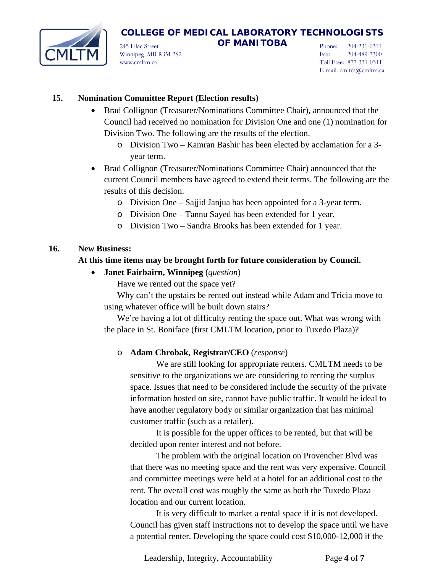

245 Lilac Street **OF MANITOBA** Winnipeg, MB R3M 2S2 www.cmltm.ca

Phone: 204-231-0311 Fax: 204-489-7300 Toll Free: 877-331-0311 E-mail: cmltm@cmltm.ca

### **15. Nomination Committee Report (Election results)**

- Brad Collignon (Treasurer/Nominations Committee Chair), announced that the Council had received no nomination for Division One and one (1) nomination for Division Two. The following are the results of the election.
	- o Division Two Kamran Bashir has been elected by acclamation for a 3 year term.
- Brad Collignon (Treasurer/Nominations Committee Chair) announced that the current Council members have agreed to extend their terms. The following are the results of this decision.
	- o Division One Sajjid Janjua has been appointed for a 3-year term.
	- o Division One Tannu Sayed has been extended for 1 year.
	- o Division Two Sandra Brooks has been extended for 1 year.

### **16. New Business:**

### **At this time items may be brought forth for future consideration by Council.**

• **Janet Fairbairn, Winnipeg** (*question*)

Have we rented out the space yet?

Why can't the upstairs be rented out instead while Adam and Tricia move to using whatever office will be built down stairs?

We're having a lot of difficulty renting the space out. What was wrong with the place in St. Boniface (first CMLTM location, prior to Tuxedo Plaza)?

### o **Adam Chrobak, Registrar/CEO** (*response*)

We are still looking for appropriate renters. CMLTM needs to be sensitive to the organizations we are considering to renting the surplus space. Issues that need to be considered include the security of the private information hosted on site, cannot have public traffic. It would be ideal to have another regulatory body or similar organization that has minimal customer traffic (such as a retailer).

It is possible for the upper offices to be rented, but that will be decided upon renter interest and not before.

The problem with the original location on Provencher Blvd was that there was no meeting space and the rent was very expensive. Council and committee meetings were held at a hotel for an additional cost to the rent. The overall cost was roughly the same as both the Tuxedo Plaza location and our current location.

It is very difficult to market a rental space if it is not developed. Council has given staff instructions not to develop the space until we have a potential renter. Developing the space could cost \$10,000-12,000 if the

Leadership, Integrity, Accountability Page **4** of **7**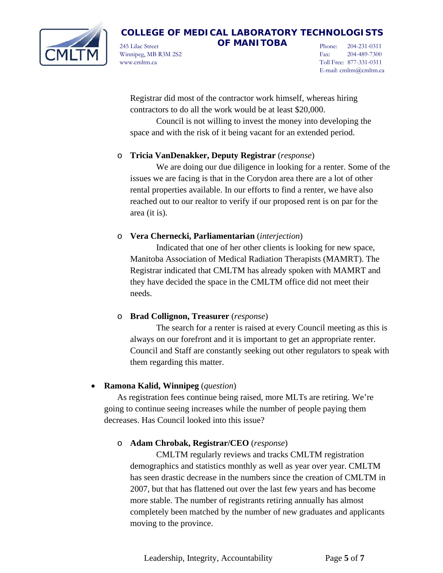

245 Lilac Street **OF MANITOBA** Winnipeg, MB R3M 2S2 www.cmltm.ca

Phone: 204-231-0311 Fax: 204-489-7300 Toll Free: 877-331-0311 E-mail: cmltm@cmltm.ca

Registrar did most of the contractor work himself, whereas hiring contractors to do all the work would be at least \$20,000.

Council is not willing to invest the money into developing the space and with the risk of it being vacant for an extended period.

### o **Tricia VanDenakker, Deputy Registrar** (*response*)

We are doing our due diligence in looking for a renter. Some of the issues we are facing is that in the Corydon area there are a lot of other rental properties available. In our efforts to find a renter, we have also reached out to our realtor to verify if our proposed rent is on par for the area (it is).

### o **Vera Chernecki, Parliamentarian** (*interjection*)

Indicated that one of her other clients is looking for new space, Manitoba Association of Medical Radiation Therapists (MAMRT). The Registrar indicated that CMLTM has already spoken with MAMRT and they have decided the space in the CMLTM office did not meet their needs.

### o **Brad Collignon, Treasurer** (*response*)

The search for a renter is raised at every Council meeting as this is always on our forefront and it is important to get an appropriate renter. Council and Staff are constantly seeking out other regulators to speak with them regarding this matter.

### • **Ramona Kalid, Winnipeg** (*question*)

As registration fees continue being raised, more MLTs are retiring. We're going to continue seeing increases while the number of people paying them decreases. Has Council looked into this issue?

### o **Adam Chrobak, Registrar/CEO** (*response*)

CMLTM regularly reviews and tracks CMLTM registration demographics and statistics monthly as well as year over year. CMLTM has seen drastic decrease in the numbers since the creation of CMLTM in 2007, but that has flattened out over the last few years and has become more stable. The number of registrants retiring annually has almost completely been matched by the number of new graduates and applicants moving to the province.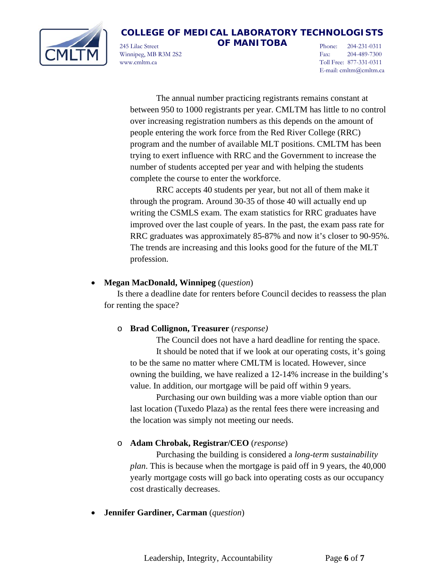

245 Lilac Street **OF MANITOBA** Winnipeg, MB R3M 2S2 www.cmltm.ca

Phone: 204-231-0311 Fax: 204-489-7300 Toll Free: 877-331-0311 E-mail: cmltm@cmltm.ca

The annual number practicing registrants remains constant at between 950 to 1000 registrants per year. CMLTM has little to no control over increasing registration numbers as this depends on the amount of people entering the work force from the Red River College (RRC) program and the number of available MLT positions. CMLTM has been trying to exert influence with RRC and the Government to increase the number of students accepted per year and with helping the students complete the course to enter the workforce.

RRC accepts 40 students per year, but not all of them make it through the program. Around 30-35 of those 40 will actually end up writing the CSMLS exam. The exam statistics for RRC graduates have improved over the last couple of years. In the past, the exam pass rate for RRC graduates was approximately 85-87% and now it's closer to 90-95%. The trends are increasing and this looks good for the future of the MLT profession.

### • **Megan MacDonald, Winnipeg** (*question*)

Is there a deadline date for renters before Council decides to reassess the plan for renting the space?

#### o **Brad Collignon, Treasurer** (*response)*

The Council does not have a hard deadline for renting the space. It should be noted that if we look at our operating costs, it's going to be the same no matter where CMLTM is located. However, since owning the building, we have realized a 12-14% increase in the building's value. In addition, our mortgage will be paid off within 9 years.

Purchasing our own building was a more viable option than our last location (Tuxedo Plaza) as the rental fees there were increasing and the location was simply not meeting our needs.

#### o **Adam Chrobak, Registrar/CEO** (*response*)

Purchasing the building is considered a *long-term sustainability plan*. This is because when the mortgage is paid off in 9 years, the 40,000 yearly mortgage costs will go back into operating costs as our occupancy cost drastically decreases.

#### • **Jennifer Gardiner, Carman** (*question*)